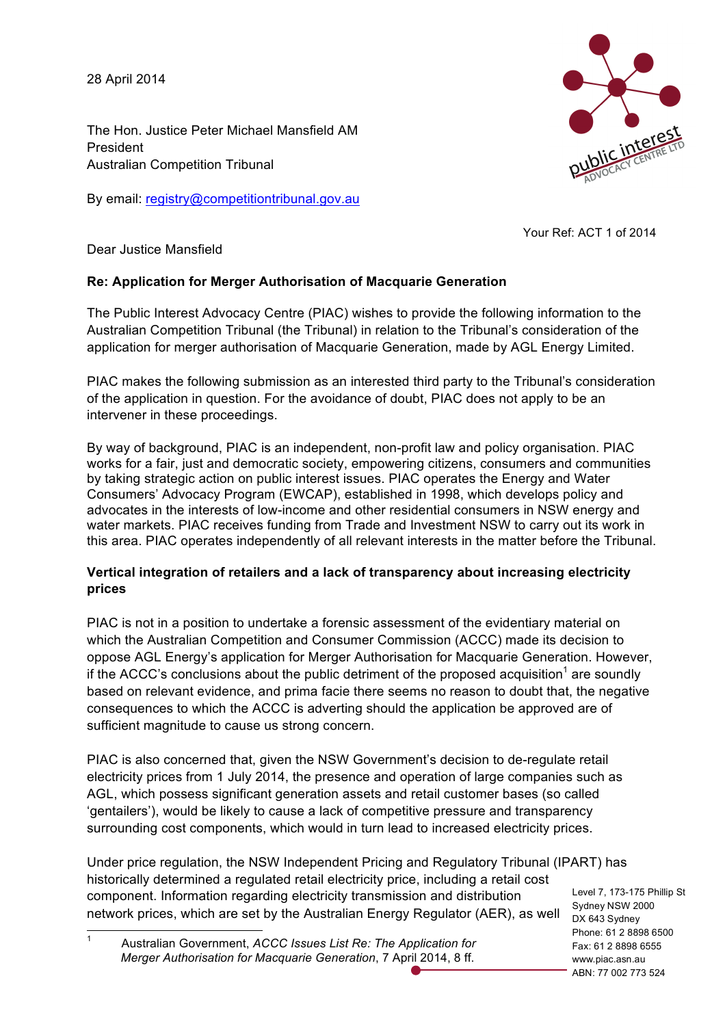28 April 2014

The Hon. Justice Peter Michael Mansfield AM President Australian Competition Tribunal

By email: registry@competitiontribunal.gov.au



Your Ref: ACT 1 of 2014

Dear Justice Mansfield

## **Re: Application for Merger Authorisation of Macquarie Generation**

The Public Interest Advocacy Centre (PIAC) wishes to provide the following information to the Australian Competition Tribunal (the Tribunal) in relation to the Tribunal's consideration of the application for merger authorisation of Macquarie Generation, made by AGL Energy Limited.

PIAC makes the following submission as an interested third party to the Tribunal's consideration of the application in question. For the avoidance of doubt, PIAC does not apply to be an intervener in these proceedings.

By way of background, PIAC is an independent, non-profit law and policy organisation. PIAC works for a fair, just and democratic society, empowering citizens, consumers and communities by taking strategic action on public interest issues. PIAC operates the Energy and Water Consumers' Advocacy Program (EWCAP), established in 1998, which develops policy and advocates in the interests of low-income and other residential consumers in NSW energy and water markets. PIAC receives funding from Trade and Investment NSW to carry out its work in this area. PIAC operates independently of all relevant interests in the matter before the Tribunal.

## **Vertical integration of retailers and a lack of transparency about increasing electricity prices**

PIAC is not in a position to undertake a forensic assessment of the evidentiary material on which the Australian Competition and Consumer Commission (ACCC) made its decision to oppose AGL Energy's application for Merger Authorisation for Macquarie Generation. However, if the ACCC's conclusions about the public detriment of the proposed acquisition<sup>1</sup> are soundly based on relevant evidence, and prima facie there seems no reason to doubt that, the negative consequences to which the ACCC is adverting should the application be approved are of sufficient magnitude to cause us strong concern.

PIAC is also concerned that, given the NSW Government's decision to de-regulate retail electricity prices from 1 July 2014, the presence and operation of large companies such as AGL, which possess significant generation assets and retail customer bases (so called 'gentailers'), would be likely to cause a lack of competitive pressure and transparency surrounding cost components, which would in turn lead to increased electricity prices.

Under price regulation, the NSW Independent Pricing and Regulatory Tribunal (IPART) has historically determined a regulated retail electricity price, including a retail cost component. Information regarding electricity transmission and distribution network prices, which are set by the Australian Energy Regulator (AER), as well

Level 7, 173-175 Phillip St Sydney NSW 2000 DX 643 Sydney Phone: 61 2 8898 6500 Fax: 61 2 8898 6555 www.piac.asn.au ABN: 77 002 773 524

 1 Australian Government, *ACCC Issues List Re: The Application for Merger Authorisation for Macquarie Generation*, 7 April 2014, 8 ff.